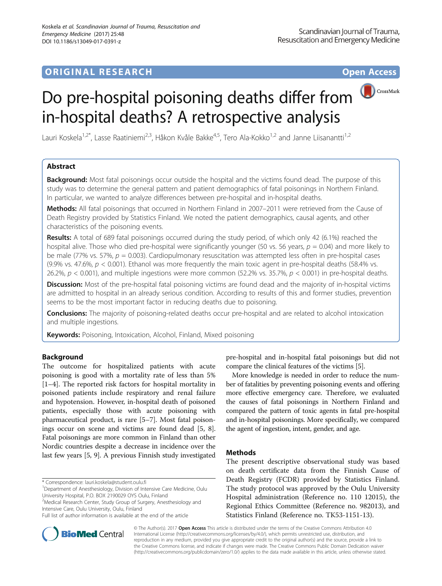# **ORIGINAL RESEARCH CONSERVERS AND ACCESS**



# Do pre-hospital poisoning deaths differ from in-hospital deaths? A retrospective analysis

Lauri Koskela<sup>1,2\*</sup>, Lasse Raatiniemi<sup>2,3</sup>, Håkon Kvåle Bakke<sup>4,5</sup>, Tero Ala-Kokko<sup>1,2</sup> and Janne Liisanantti<sup>1,2</sup>

# Abstract

**Background:** Most fatal poisonings occur outside the hospital and the victims found dead. The purpose of this study was to determine the general pattern and patient demographics of fatal poisonings in Northern Finland. In particular, we wanted to analyze differences between pre-hospital and in-hospital deaths.

Methods: All fatal poisonings that occurred in Northern Finland in 2007–2011 were retrieved from the Cause of Death Registry provided by Statistics Finland. We noted the patient demographics, causal agents, and other characteristics of the poisoning events.

Results: A total of 689 fatal poisonings occurred during the study period, of which only 42 (6.1%) reached the hospital alive. Those who died pre-hospital were significantly younger (50 vs. 56 years,  $p = 0.04$ ) and more likely to be male (77% vs. 57%,  $p = 0.003$ ). Cardiopulmonary resuscitation was attempted less often in pre-hospital cases (9.9% vs. 47.6%,  $p < 0.001$ ). Ethanol was more frequently the main toxic agent in pre-hospital deaths (58.4% vs. 26.2%,  $p < 0.001$ ), and multiple ingestions were more common (52.2% vs. 35.7%,  $p < 0.001$ ) in pre-hospital deaths.

Discussion: Most of the pre-hospital fatal poisoning victims are found dead and the majority of in-hospital victims are admitted to hospital in an already serious condition. According to results of this and former studies, prevention seems to be the most important factor in reducing deaths due to poisoning.

Conclusions: The majority of poisoning-related deaths occur pre-hospital and are related to alcohol intoxication and multiple ingestions.

Keywords: Poisoning, Intoxication, Alcohol, Finland, Mixed poisoning

# Background

The outcome for hospitalized patients with acute poisoning is good with a mortality rate of less than 5% [[1](#page-4-0)–[4\]](#page-4-0). The reported risk factors for hospital mortality in poisoned patients include respiratory and renal failure and hypotension. However, in-hospital death of poisoned patients, especially those with acute poisoning with pharmaceutical product, is rare [\[5](#page-4-0)–[7\]](#page-4-0). Most fatal poisonings occur on scene and victims are found dead [\[5](#page-4-0), [8](#page-4-0)]. Fatal poisonings are more common in Finland than other Nordic countries despite a decrease in incidence over the last few years [[5](#page-4-0), [9](#page-4-0)]. A previous Finnish study investigated

\* Correspondence: [lauri.koskela@student.oulu.fi](mailto:lauri.koskela@student.oulu.fi) <sup>1</sup>

<sup>1</sup>Department of Anesthesiology, Division of Intensive Care Medicine, Oulu University Hospital, P.O. BOX 2190029 OYS Oulu, Finland

<sup>2</sup>Medical Research Center, Study Group of Surgery, Anesthesiology and Intensive Care, Oulu University, Oulu, Finland



More knowledge is needed in order to reduce the number of fatalities by preventing poisoning events and offering more effective emergency care. Therefore, we evaluated the causes of fatal poisonings in Northern Finland and compared the pattern of toxic agents in fatal pre-hospital and in-hospital poisonings. More specifically, we compared the agent of ingestion, intent, gender, and age.

# Methods

The present descriptive observational study was based on death certificate data from the Finnish Cause of Death Registry (FCDR) provided by Statistics Finland. The study protocol was approved by the Oulu University Hospital administration (Reference no. 110 12015), the Regional Ethics Committee (Reference no. 982013), and Statistics Finland (Reference no. TK53-1151-13).



© The Author(s). 2017 Open Access This article is distributed under the terms of the Creative Commons Attribution 4.0 International License [\(http://creativecommons.org/licenses/by/4.0/](http://creativecommons.org/licenses/by/4.0/)), which permits unrestricted use, distribution, and reproduction in any medium, provided you give appropriate credit to the original author(s) and the source, provide a link to the Creative Commons license, and indicate if changes were made. The Creative Commons Public Domain Dedication waiver [\(http://creativecommons.org/publicdomain/zero/1.0/](http://creativecommons.org/publicdomain/zero/1.0/)) applies to the data made available in this article, unless otherwise stated.

Full list of author information is available at the end of the article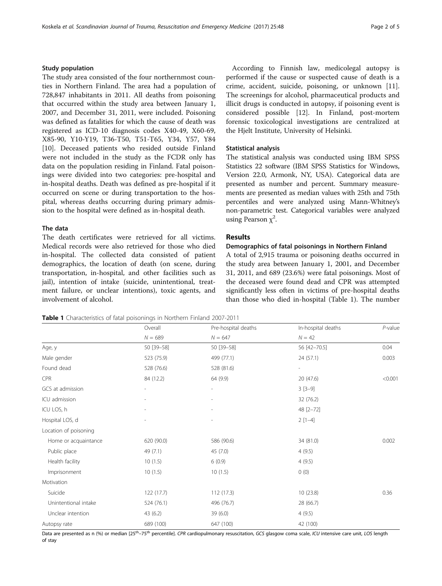# <span id="page-1-0"></span>Study population

The study area consisted of the four northernmost counties in Northern Finland. The area had a population of 728,847 inhabitants in 2011. All deaths from poisoning that occurred within the study area between January 1, 2007, and December 31, 2011, were included. Poisoning was defined as fatalities for which the cause of death was registered as ICD-10 diagnosis codes X40-49, X60-69, X85-90, Y10-Y19, T36-T50, T51-T65, Y34, Y57, Y84 [[10\]](#page-4-0). Deceased patients who resided outside Finland were not included in the study as the FCDR only has data on the population residing in Finland. Fatal poisonings were divided into two categories: pre-hospital and in-hospital deaths. Death was defined as pre-hospital if it occurred on scene or during transportation to the hospital, whereas deaths occurring during primary admission to the hospital were defined as in-hospital death.

#### The data

The death certificates were retrieved for all victims. Medical records were also retrieved for those who died in-hospital. The collected data consisted of patient demographics, the location of death (on scene, during transportation, in-hospital, and other facilities such as jail), intention of intake (suicide, unintentional, treatment failure, or unclear intentions), toxic agents, and involvement of alcohol.

According to Finnish law, medicolegal autopsy is performed if the cause or suspected cause of death is a crime, accident, suicide, poisoning, or unknown [\[11](#page-4-0)]. The screenings for alcohol, pharmaceutical products and illicit drugs is conducted in autopsy, if poisoning event is considered possible [\[12\]](#page-4-0). In Finland, post-mortem forensic toxicological investigations are centralized at the Hjelt Institute, University of Helsinki.

## Statistical analysis

The statistical analysis was conducted using IBM SPSS Statistics 22 software (IBM SPSS Statistics for Windows, Version 22.0, Armonk, NY, USA). Categorical data are presented as number and percent. Summary measurements are presented as median values with 25th and 75th percentiles and were analyzed using Mann-Whitney's non-parametric test. Categorical variables were analyzed using Pearson  $\chi^2$ .

# Results

# Demographics of fatal poisonings in Northern Finland

A total of 2,915 trauma or poisoning deaths occurred in the study area between January 1, 2001, and December 31, 2011, and 689 (23.6%) were fatal poisonings. Most of the deceased were found dead and CPR was attempted significantly less often in victims of pre-hospital deaths than those who died in-hospital (Table 1). The number

Table 1 Characteristics of fatal poisonings in Northern Finland 2007-2011

Overall **Pre-hospital deaths** In-hospital deaths *P*-value  $N = 689$   $N = 647$   $N = 42$ Age, y 50 [39–58] 50 [39–58] 56 [42–70.5] 0.04 Male gender 523 (75.9) 499 (77.1) 24 (57.1) 0.003 Found dead **528 (76.6)** 528 (76.6) 528 (81.6) CPR 84 (12.2) 64 (9.9) 20 (47.6) <0.001 GCS at admission  $\overline{3}$   $\overline{3}$   $\overline{3}$   $\overline{3}$   $\overline{3}$   $\overline{3}$   $\overline{3}$   $\overline{3}$   $\overline{3}$   $\overline{3}$   $\overline{3}$   $\overline{3}$   $\overline{3}$   $\overline{3}$   $\overline{3}$   $\overline{3}$   $\overline{3}$   $\overline{3}$   $\overline{3}$   $\overline{3}$   $\overline{3}$   $\overline{3}$   $\overline{3$ ICU admission  $\sim$  32 (76.2) ICU LOS, h - - 48 [2–72] Hospital LOS, d - - 2 [1–4] Location of poisoning Home or acquaintance  $620 (90.0)$  586 (90.6) 34 (81.0) 34 (81.0) 0.002 Public place 49 (7.1) 45 (7.0) 4 (9.5) Health facility 10 (1.5) 6 (0.9) 4 (9.5) Imprisonment 10 (1.5) 10 (1.5) 0 (0) Motivation Suicide 122 (17.7) 112 (17.3) 12 (17.3) 10 (23.8) 10 (23.8) 0.36 Unintentional intake 524 (76.1) 496 (76.7) 28 (66.7) Unclear intention 43 (6.2) 39 (6.0) 4 (9.5) Autopsy rate 689 (100) 647 (100) 42 (100)

Data are presented as n (%) or median [25<sup>th</sup>–75<sup>th</sup> percentile]. CPR cardiopulmonary resuscitation, GCS glasgow coma scale, ICU intensive care unit, LOS length of stay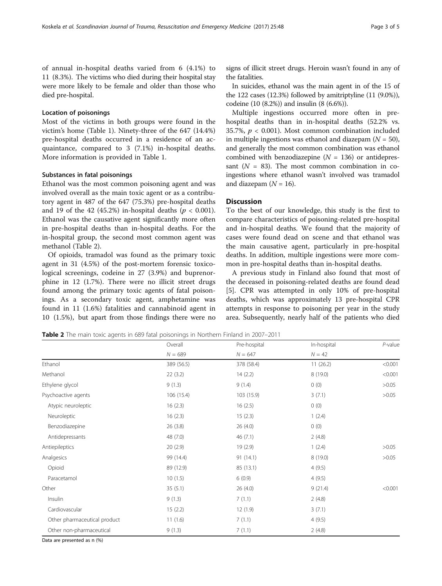of annual in-hospital deaths varied from 6 (4.1%) to 11 (8.3%). The victims who died during their hospital stay were more likely to be female and older than those who died pre-hospital.

## Location of poisonings

Most of the victims in both groups were found in the victim's home (Table [1\)](#page-1-0). Ninety-three of the 647 (14.4%) pre-hospital deaths occurred in a residence of an acquaintance, compared to 3 (7.1%) in-hospital deaths. More information is provided in Table [1](#page-1-0).

## Substances in fatal poisonings

Ethanol was the most common poisoning agent and was involved overall as the main toxic agent or as a contributory agent in 487 of the 647 (75.3%) pre-hospital deaths and 19 of the 42 (45.2%) in-hospital deaths ( $p < 0.001$ ). Ethanol was the causative agent significantly more often in pre-hospital deaths than in-hospital deaths. For the in-hospital group, the second most common agent was methanol (Table 2).

Of opioids, tramadol was found as the primary toxic agent in 31 (4.5%) of the post-mortem forensic toxicological screenings, codeine in 27 (3.9%) and buprenorphine in 12 (1.7%). There were no illicit street drugs found among the primary toxic agents of fatal poisonings. As a secondary toxic agent, amphetamine was found in 11 (1.6%) fatalities and cannabinoid agent in 10 (1.5%), but apart from those findings there were no

signs of illicit street drugs. Heroin wasn't found in any of the fatalities.

In suicides, ethanol was the main agent in of the 15 of the 122 cases (12.3%) followed by amitriptyline (11 (9.0%)), codeine (10 (8.2%)) and insulin (8 (6.6%)).

Multiple ingestions occurred more often in prehospital deaths than in in-hospital deaths (52.2% vs. 35.7%,  $p < 0.001$ ). Most common combination included in multiple ingestions was ethanol and diazepam  $(N = 50)$ , and generally the most common combination was ethanol combined with benzodiazepine  $(N = 136)$  or antidepressant  $(N = 83)$ . The most common combination in coingestions where ethanol wasn't involved was tramadol and diazepam  $(N = 16)$ .

## **Discussion**

To the best of our knowledge, this study is the first to compare characteristics of poisoning-related pre-hospital and in-hospital deaths. We found that the majority of cases were found dead on scene and that ethanol was the main causative agent, particularly in pre-hospital deaths. In addition, multiple ingestions were more common in pre-hospital deaths than in-hospital deaths.

A previous study in Finland also found that most of the deceased in poisoning-related deaths are found dead [[5\]](#page-4-0). CPR was attempted in only 10% of pre-hospital deaths, which was approximately 13 pre-hospital CPR attempts in response to poisoning per year in the study area. Subsequently, nearly half of the patients who died

Table 2 The main toxic agents in 689 fatal poisonings in Northern Finland in 2007-2011

|                              | Overall<br>$N = 689$ | Pre-hospital<br>$N = 647$ | In-hospital<br>$N = 42$ | $P$ -value |
|------------------------------|----------------------|---------------------------|-------------------------|------------|
|                              |                      |                           |                         |            |
| Ethanol                      | 389 (56.5)           | 378 (58.4)                | 11(26.2)                | < 0.001    |
| Methanol                     | 22(3.2)              | 14(2.2)                   | 8 (19.0)                | < 0.001    |
| Ethylene glycol              | 9(1.3)               | 9(1.4)                    | 0(0)                    | >0.05      |
| Psychoactive agents          | 106 (15.4)           | 103 (15.9)                | 3(7.1)                  | >0.05      |
| Atypic neuroleptic           | 16(2.3)              | 16(2.5)                   | 0(0)                    |            |
| Neuroleptic                  | 16(2.3)              | 15(2.3)                   | 1(2.4)                  |            |
| Benzodiazepine               | 26(3.8)              | 26(4.0)                   | 0(0)                    |            |
| Antidepressants              | 48 (7.0)             | 46(7.1)                   | 2(4.8)                  |            |
| Antiepileptics               | 20(2.9)              | 19 (2.9)                  | 1(2.4)                  | >0.05      |
| Analgesics                   | 99 (14.4)            | 91(14.1)                  | 8 (19.0)                | >0.05      |
| Opioid                       | 89 (12.9)            | 85 (13.1)                 | 4(9.5)                  |            |
| Paracetamol                  | 10(1.5)              | 6(0.9)                    | 4(9.5)                  |            |
| Other                        | 35(5.1)              | 26(4.0)                   | 9(21.4)                 | < 0.001    |
| Insulin                      | 9(1.3)               | 7(1.1)                    | 2(4.8)                  |            |
| Cardiovascular               | 15(2.2)              | 12(1.9)                   | 3(7.1)                  |            |
| Other pharmaceutical product | 11(1.6)              | 7(1.1)                    | 4(9.5)                  |            |
| Other non-pharmaceutical     | 9(1.3)               | 7(1.1)                    | 2(4.8)                  |            |

Data are presented as n (%)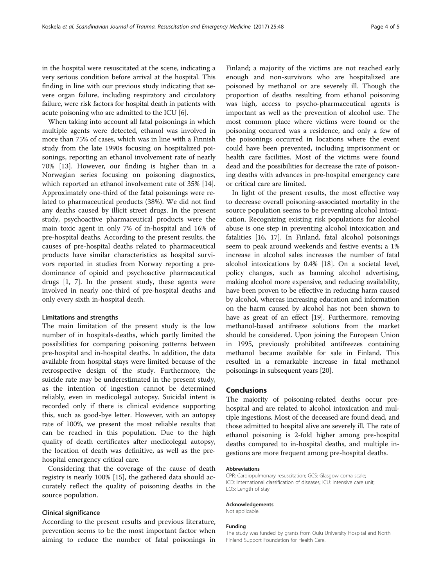in the hospital were resuscitated at the scene, indicating a very serious condition before arrival at the hospital. This finding in line with our previous study indicating that severe organ failure, including respiratory and circulatory failure, were risk factors for hospital death in patients with acute poisoning who are admitted to the ICU [[6\]](#page-4-0).

When taking into account all fatal poisonings in which multiple agents were detected, ethanol was involved in more than 75% of cases, which was in line with a Finnish study from the late 1990s focusing on hospitalized poisonings, reporting an ethanol involvement rate of nearly 70% [[13](#page-4-0)]. However, our finding is higher than in a Norwegian series focusing on poisoning diagnostics, which reported an ethanol involvement rate of 35% [\[14](#page-4-0)]. Approximately one-third of the fatal poisonings were related to pharmaceutical products (38%). We did not find any deaths caused by illicit street drugs. In the present study, psychoactive pharmaceutical products were the main toxic agent in only 7% of in-hospital and 16% of pre-hospital deaths. According to the present results, the causes of pre-hospital deaths related to pharmaceutical products have similar characteristics as hospital survivors reported in studies from Norway reporting a predominance of opioid and psychoactive pharmaceutical drugs [[1, 7](#page-4-0)]. In the present study, these agents were involved in nearly one-third of pre-hospital deaths and only every sixth in-hospital death.

## Limitations and strengths

The main limitation of the present study is the low number of in hospitals-deaths, which partly limited the possibilities for comparing poisoning patterns between pre-hospital and in-hospital deaths. In addition, the data available from hospital stays were limited because of the retrospective design of the study. Furthermore, the suicide rate may be underestimated in the present study, as the intention of ingestion cannot be determined reliably, even in medicolegal autopsy. Suicidal intent is recorded only if there is clinical evidence supporting this, such as good-bye letter. However, with an autopsy rate of 100%, we present the most reliable results that can be reached in this population. Due to the high quality of death certificates after medicolegal autopsy, the location of death was definitive, as well as the prehospital emergency critical care.

Considering that the coverage of the cause of death registry is nearly 100% [\[15\]](#page-4-0), the gathered data should accurately reflect the quality of poisoning deaths in the source population.

#### Clinical significance

According to the present results and previous literature, prevention seems to be the most important factor when aiming to reduce the number of fatal poisonings in

Finland; a majority of the victims are not reached early enough and non-survivors who are hospitalized are poisoned by methanol or are severely ill. Though the proportion of deaths resulting from ethanol poisoning was high, access to psycho-pharmaceutical agents is important as well as the prevention of alcohol use. The most common place where victims were found or the poisoning occurred was a residence, and only a few of the poisonings occurred in locations where the event could have been prevented, including imprisonment or health care facilities. Most of the victims were found dead and the possibilities for decrease the rate of poisoning deaths with advances in pre-hospital emergency care or critical care are limited.

In light of the present results, the most effective way to decrease overall poisoning-associated mortality in the source population seems to be preventing alcohol intoxication. Recognizing existing risk populations for alcohol abuse is one step in preventing alcohol intoxication and fatalities [\[16, 17](#page-4-0)]. In Finland, fatal alcohol poisonings seem to peak around weekends and festive events; a 1% increase in alcohol sales increases the number of fatal alcohol intoxications by 0.4% [\[18\]](#page-4-0). On a societal level, policy changes, such as banning alcohol advertising, making alcohol more expensive, and reducing availability, have been proven to be effective in reducing harm caused by alcohol, whereas increasing education and information on the harm caused by alcohol has not been shown to have as great of an effect [[19](#page-4-0)]. Furthermore, removing methanol-based antifreeze solutions from the market should be considered. Upon joining the European Union in 1995, previously prohibited antifreezes containing methanol became available for sale in Finland. This resulted in a remarkable increase in fatal methanol poisonings in subsequent years [\[20\]](#page-4-0).

## Conclusions

The majority of poisoning-related deaths occur prehospital and are related to alcohol intoxication and multiple ingestions. Most of the deceased are found dead, and those admitted to hospital alive are severely ill. The rate of ethanol poisoning is 2-fold higher among pre-hospital deaths compared to in-hospital deaths, and multiple ingestions are more frequent among pre-hospital deaths.

#### Abbreviations

CPR: Cardiopulmonary resuscitation; GCS: Glasgow coma scale; ICD: International classification of diseases; ICU: Intensive care unit; LOS: Length of stay

#### Acknowledgements

Not applicable.

#### Funding

The study was funded by grants from Oulu University Hospital and North Finland Support Foundation for Health Care.